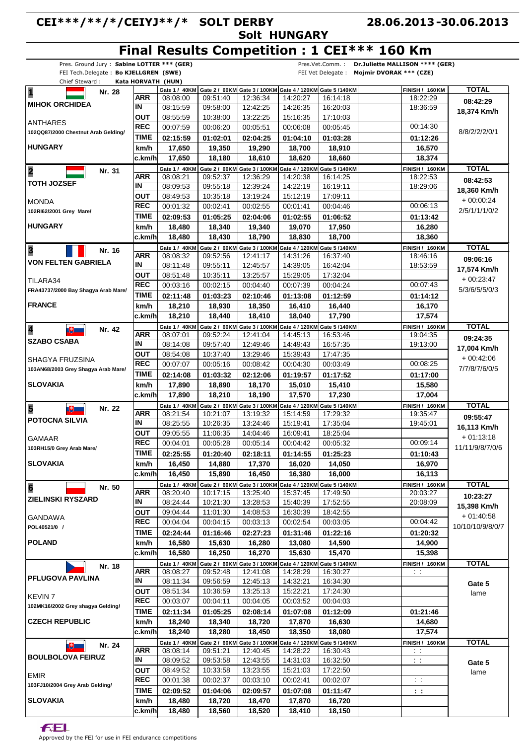## **CEI\*\*\*/\*\*/\*/CEIYJ\*\*/\* SOLT DERBY Solt HUNGARY 28.06.2013 30.06.2013 - Final Results Competition : 1 CEI\*\*\* 160 Km**

|                                         |                          | Pres. Ground Jury: Sabine LOTTER *** (GER) | יייסט טיי            |                                                                                      |                      | Pres.Vet.Comm.:      | Dr.Juliette MALLISON **** (GER)    |                  |
|-----------------------------------------|--------------------------|--------------------------------------------|----------------------|--------------------------------------------------------------------------------------|----------------------|----------------------|------------------------------------|------------------|
| FEI Tech.Delegate: Bo KJELLGREN (SWE)   |                          |                                            |                      |                                                                                      |                      | FEI Vet Delegate :   | Mojmir DVORAK *** (CZE)            |                  |
| Chief Steward:                          |                          | Kata HORVATH (HUN)                         |                      |                                                                                      |                      |                      |                                    |                  |
| $\overline{\mathbf{1}}$<br>Nr. 28       |                          |                                            |                      | Gate 1 / 40KM Gate 2 / 60KM Gate 3 / 100KM Gate 4 / 120KM Gate 5 / 140KM             |                      |                      | FINISH / 160KM                     | <b>TOTAL</b>     |
| <b>MIHOK ORCHIDEA</b>                   | <b>ARR</b><br>ΙN         | 08:08:00<br>08:15:59                       | 09:51:40<br>09:58:00 | 12:36:34<br>12:42:25                                                                 | 14:20:27<br>14:26:35 | 16:14:18<br>16:20:03 | 18:22:29<br>18:36:59               | 08:42:29         |
|                                         | <b>OUT</b>               | 08:55:59                                   | 10:38:00             | 13:22:25                                                                             | 15:16:35             | 17:10:03             |                                    | 18,374 Km/h      |
| ANTHARES                                | <b>REC</b>               | 00:07:59                                   | 00:06:20             | 00:05:51                                                                             | 00:06:08             | 00:05:45             | 00:14:30                           |                  |
| 102QQ87/2000 Chestnut Arab Gelding/     | <b>TIME</b>              | 02:15:59                                   | 01:02:01             | 02:04:25                                                                             | 01:04:10             | 01:03:28             | 01:12:26                           | 8/8/2/2/2/0/1    |
| <b>HUNGARY</b>                          | km/h                     | 17,650                                     | 19,350               | 19,290                                                                               | 18,700               | 18,910               | 16,570                             |                  |
|                                         | c.km/h                   | 17,650                                     | 18,180               | 18,610                                                                               | 18,620               | 18,660               | 18,374                             |                  |
|                                         |                          | Gate 1 / 40KM                              |                      | Gate 2 / 60KM Gate 3 / 100KM Gate 4 / 120KM Gate 5 /140KM                            |                      |                      | FINISH / 160KM                     | <b>TOTAL</b>     |
| $\overline{\mathbf{2}}$<br>Nr. 31       | <b>ARR</b>               | 08:08:21                                   | 09:52:37             | 12:36:29                                                                             | 14:20:38             | 16:14:25             | 18:22:53                           | 08:42:53         |
| <b>TOTH JOZSEF</b>                      | IN                       | 08:09:53                                   | 09:55:18             | 12:39:24                                                                             | 14:22:19             | 16:19:11             | 18:29:06                           | 18,360 Km/h      |
|                                         | <b>OUT</b>               | 08:49:53                                   | 10:35:18             | 13:19:24                                                                             | 15:12:19             | 17:09:11             |                                    | $+00:00:24$      |
| <b>MONDA</b><br>102RI62/2001 Grey Mare/ | <b>REC</b>               | 00:01:32                                   | 00:02:41             | 00:02:55                                                                             | 00:01:41             | 00:04:46             | 00:06:13                           | 2/5/1/1/1/0/2    |
|                                         | <b>TIME</b>              | 02:09:53                                   | 01:05:25             | 02:04:06                                                                             | 01:02:55             | 01:06:52             | 01:13:42                           |                  |
| <b>HUNGARY</b>                          | km/h                     | 18,480                                     | 18,340               | 19,340                                                                               | 19,070               | 17,950               | 16,280                             |                  |
|                                         | c.km/h                   | 18,480                                     | 18,430               | 18,790                                                                               | 18,830               | 18,700               | 18,360                             |                  |
| $\overline{\mathbf{3}}$<br>Nr. 16       |                          | Gate 1 / 40KM                              |                      | Gate 2 / 60KM Gate 3 / 100KM Gate 4 / 120KM Gate 5 /140KM                            |                      |                      | <b>FINISH / 160 KM</b>             | <b>TOTAL</b>     |
| <b>VON FELTEN GABRIELA</b>              | <b>ARR</b>               | 08:08:32                                   | 09:52:56             | 12:41:17                                                                             | 14:31:26             | 16:37:40             | 18:46:16                           | 09:06:16         |
|                                         | ΙN                       | 08:11:48                                   | 09:55:11             | 12:45:57                                                                             | 14:39:05             | 16:42:04             | 18:53:59                           | 17,574 Km/h      |
| TILARA34                                | <b>OUT</b><br><b>REC</b> | 08:51:48                                   | 10:35:11             | 13:25:57                                                                             | 15:29:05             | 17:32:04             | 00:07:43                           | $+00:23:47$      |
| FRA43737/2000 Bay Shagya Arab Mare/     |                          | 00:03:16                                   | 00:02:15             | 00:04:40                                                                             | 00:07:39             | 00:04:24             |                                    | 5/3/6/5/5/0/3    |
| <b>FRANCE</b>                           | <b>TIME</b>              | 02:11:48                                   | 01:03:23             | 02:10:46                                                                             | 01:13:08             | 01:12:59             | 01:14:12                           |                  |
|                                         | km/h                     | 18,210                                     | 18,930               | 18,350                                                                               | 16,410               | 16,440               | 16,170                             |                  |
|                                         | c.km/h                   | 18,210                                     | 18,440               | 18,410                                                                               | 18,040               | 17,790               | 17,574                             | <b>TOTAL</b>     |
| 4<br>Nr. 42<br>囲                        | <b>ARR</b>               | 08:07:01                                   | 09:52:24             | Gate 1 / 40KM Gate 2 / 60KM Gate 3 / 100KM Gate 4 / 120KM Gate 5 / 140KM<br>12:41:04 | 14:45:13             | 16:53:46             | <b>FINISH / 160 KM</b><br>19:04:35 |                  |
| <b>SZABO CSABA</b>                      | ΙN                       | 08:14:08                                   | 09:57:40             | 12:49:46                                                                             | 14:49:43             | 16:57:35             | 19:13:00                           | 09:24:35         |
|                                         | <b>OUT</b>               | 08:54:08                                   | 10:37:40             | 13:29:46                                                                             | 15:39:43             | 17:47:35             |                                    | 17,004 Km/h      |
| SHAGYA FRUZSINA                         | <b>REC</b>               | 00:07:07                                   | 00:05:16             | 00:08:42                                                                             | 00:04:30             | 00:03:49             | 00:08:25                           | $+00.42:06$      |
| 103AN68/2003 Grey Shagya Arab Mare/     | <b>TIME</b>              | 02:14:08                                   | 01:03:32             | 02:12:06                                                                             | 01:19:57             | 01:17:52             | 01:17:00                           | 7/7/8/7/6/0/5    |
| <b>SLOVAKIA</b>                         | km/h                     | 17,890                                     | 18,890               | 18,170                                                                               | 15,010               | 15,410               | 15,580                             |                  |
|                                         | c.km/h                   | 17,890                                     | 18,210               | 18,190                                                                               | 17,570               | 17,230               | 17,004                             |                  |
| 5<br>Nr. 22<br>$\mathbb{R}^+$           |                          |                                            |                      | Gate 1 / 40KM Gate 2 / 60KM Gate 3 / 100KM Gate 4 / 120KM Gate 5 / 140KM             |                      |                      | <b>FINISH / 160 KM</b>             | <b>TOTAL</b>     |
|                                         | <b>ARR</b>               | 08:21:54                                   | 10:21:07             | 13:19:32                                                                             | 15:14:59             | 17:29:32             | 19:35:47                           | 09:55:47         |
| <b>POTOCNA SILVIA</b>                   | IN                       | 08:25:55                                   | 10:26:35             | 13:24:46                                                                             | 15:19:41             | 17:35:04             | 19:45:01                           | 16,113 Km/h      |
| <b>GAMAAR</b>                           | <b>OUT</b>               | 09:05:55                                   | 11:06:35             | 14:04:46                                                                             | 16:09:41             | 18:25:04             |                                    | $+01:13:18$      |
| 103RH15/0 Grey Arab Mare/               | <b>REC</b>               | 00:04:01                                   | 00:05:28             | 00:05:14                                                                             | 00:04:42             | 00:05:32             | 00:09:14                           | 11/11/9/8/7/0/6  |
|                                         | TIME                     | 02:25:55                                   | 01:20:40             | 02:18:11                                                                             | 01:14:55             | 01:25:23             | 01:10:43                           |                  |
| <b>SLOVAKIA</b>                         | km/h                     | 16,450                                     | 14,880               | 17,370                                                                               |                      |                      | 16,970                             |                  |
|                                         | c.km/hl                  | 16,450                                     |                      |                                                                                      | 16,020               | 14,050               |                                    |                  |
| $6\phantom{a}$<br>Nr. 50                |                          |                                            | 15,890               | 16,450                                                                               | 16,380               | 16,000               | 16,113                             |                  |
|                                         |                          |                                            |                      | Gate 1 / 40KM Gate 2 / 60KM Gate 3 / 100KM Gate 4 / 120KM Gate 5 / 140KM             |                      |                      | <b>FINISH / 160 KM</b>             | <b>TOTAL</b>     |
| <b>ZIELINSKI RYSZARD</b>                | ARR                      | 08:20:40                                   | 10:17:15             | 13:25:40                                                                             | 15:37:45             | 17:49:50             | 20:03:27                           | 10:23:27         |
|                                         | IN                       | 08:24:44                                   | 10:21:30             | 13:28:53                                                                             | 15:40:39             | 17:52:55             | 20:08:09                           | 15,398 Km/h      |
| GANDAWA                                 | <b>OUT</b><br><b>REC</b> | 09:04:44<br>00:04:04                       | 11:01:30             | 14:08:53                                                                             | 16:30:39             | 18:42:55             | 00:04:42                           | $+01:40.58$      |
| POL40521/0 /                            | TIME                     |                                            | 00:04:15             | 00:03:13                                                                             | 00:02:54             | 00:03:05             |                                    | 10/10/10/9/8/0/7 |
| <b>POLAND</b>                           | km/h                     | 02:24:44<br>16,580                         | 01:16:46<br>15,630   | 02:27:23<br>16,280                                                                   | 01:31:46<br>13,080   | 01:22:16<br>14,590   | 01:20:32<br>14,900                 |                  |
|                                         | c.km/hl                  | 16,580                                     | 16,250               | 16,270                                                                               | 15,630               | 15,470               | 15,398                             |                  |
|                                         |                          |                                            |                      | Gate 1 / 40KM Gate 2 / 60KM Gate 3 / 100KM Gate 4 / 120KM Gate 5 / 140KM             |                      |                      | <b>FINISH / 160 KM</b>             |                  |
| Nr. 18                                  | <b>ARR</b>               | 08:08:27                                   | 09:52:48             | 12:41:08                                                                             | 14:28:29             | 16:30:27             | $\sim 1$                           | <b>TOTAL</b>     |
| <b>PFLUGOVA PAVLINA</b>                 | IN                       | 08:11:34                                   | 09:56:59             | 12:45:13                                                                             | 14:32:21             | 16:34:30             |                                    | Gate 5           |
|                                         | <b>OUT</b>               | 08:51:34                                   | 10:36:59             | 13:25:13                                                                             | 15:22:21             | 17:24:30             |                                    | lame             |
| <b>KEVIN 7</b>                          | <b>REC</b>               | 00:03:07                                   | 00:04:11             | 00:04:05                                                                             | 00:03:52             | 00:04:03             |                                    |                  |
| 102MK16/2002 Grey shagya Gelding/       | <b>TIME</b>              | 02:11:34                                   | 01:05:25             | 02:08:14                                                                             | 01:07:08             | 01:12:09             | 01:21:46                           |                  |
| <b>CZECH REPUBLIC</b>                   | km/h                     | 18,240                                     | 18,340               | 18,720                                                                               | 17,870               | 16,630               | 14,680                             |                  |
|                                         | c.km/hl                  | 18,240                                     | 18,280               | 18,450                                                                               | 18,350               | 18,080               | 17,574                             |                  |
| Nr. 24<br>$\mathbb{R}$                  |                          |                                            |                      | Gate 1 / 40KM Gate 2 / 60KM Gate 3 / 100KM Gate 4 / 120KM Gate 5 / 140KM             |                      |                      | <b>FINISH / 160 KM</b>             | <b>TOTAL</b>     |
| <b>BOULBOLOVA FEIRUZ</b>                | <b>ARR</b>               | 08:08:14                                   | 09:51:21             | 12:40:45                                                                             | 14:28:22             | 16:30:43             | $\sim$ 1                           |                  |
|                                         | IN                       | 08:09:52                                   | 09:53:58             | 12:43:55                                                                             | 14:31:03             | 16:32:50             | $\mathcal{L}^{\text{eff}}$         | Gate 5           |
| <b>EMIR</b>                             | ΟUΤ                      | 08:49:52                                   | 10:33:58             | 13:23:55                                                                             | 15:21:03             | 17:22:50             |                                    | lame             |
| 103FJ10/2004 Grey Arab Gelding/         | <b>REC</b>               | 00:01:38                                   | 00:02:37             | 00:03:10                                                                             | 00:02:41             | 00:02:07             | $\sim$ $\sim$                      |                  |
| <b>SLOVAKIA</b>                         | <b>TIME</b><br>km/h      | 02:09:52<br>18,480                         | 01:04:06<br>18,720   | 02:09:57<br>18,470                                                                   | 01:07:08<br>17,870   | 01:11:47<br>16,720   | 11                                 |                  |

**FEL** 

Approved by the FEI for use in FEI endurance competitions